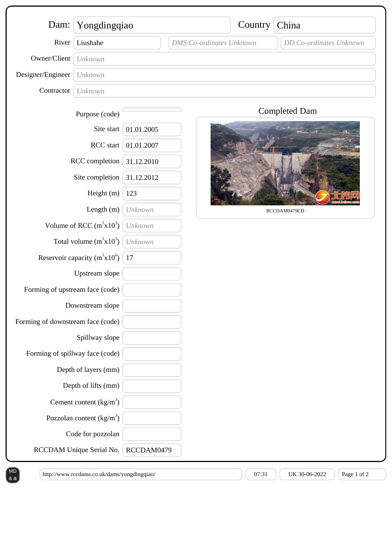| Dam:                                                                       | Yongdingqiao                      |            |                                 | Country | China                   |
|----------------------------------------------------------------------------|-----------------------------------|------------|---------------------------------|---------|-------------------------|
| River                                                                      | Liushahe                          |            | <b>DMS</b> Co-ordinates Unknown |         | DD Co-ordinates Unknown |
| Owner/Client                                                               | Unknown                           |            |                                 |         |                         |
| Designer/Engineer                                                          | Unknown                           |            |                                 |         |                         |
| Contractor                                                                 | Unknown                           |            |                                 |         |                         |
|                                                                            | Purpose (code)                    |            |                                 |         | <b>Completed Dam</b>    |
| Site start<br>RCC start<br>RCC completion<br>Site completion<br>Height (m) |                                   | 01.01.2005 |                                 |         |                         |
|                                                                            |                                   | 01.01.2007 |                                 |         |                         |
|                                                                            |                                   | 31.12.2010 |                                 |         |                         |
|                                                                            |                                   | 31.12.2012 |                                 |         |                         |
|                                                                            |                                   | 123        |                                 |         |                         |
| Length (m)                                                                 |                                   | Unknown    |                                 |         | RCCDAM0479CD            |
| Volume of RCC $(m^3x10^3)$                                                 |                                   | Unknown    |                                 |         |                         |
| Total volume $(m^3x10^3)$                                                  |                                   | Unknown    |                                 |         |                         |
| Reservoir capacity $(m^3x10^6)$                                            |                                   | 17         |                                 |         |                         |
|                                                                            | Upstream slope                    |            |                                 |         |                         |
| Forming of upstream face (code)                                            |                                   |            |                                 |         |                         |
| Downstream slope                                                           |                                   |            |                                 |         |                         |
| Forming of downstream face (code)                                          |                                   |            |                                 |         |                         |
|                                                                            | Spillway slope                    |            |                                 |         |                         |
| Forming of spillway face (code)                                            |                                   |            |                                 |         |                         |
|                                                                            | Depth of layers (mm)              |            |                                 |         |                         |
|                                                                            | Depth of lifts (mm)               |            |                                 |         |                         |
|                                                                            | Cement content $(kg/m3)$          |            |                                 |         |                         |
|                                                                            | Pozzolan content $\frac{kg}{m^3}$ |            |                                 |         |                         |
|                                                                            | Code for pozzolan                 |            |                                 |         |                         |
|                                                                            | RCCDAM Unique Serial No.          | RCCDAM0479 |                                 |         |                         |

& a